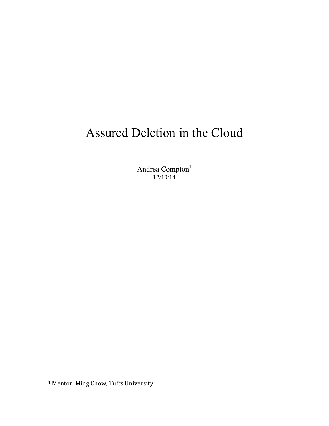# Assured Deletion in the Cloud

Andrea Compton<sup>1</sup> 12/10/14

 

<sup>&</sup>lt;sup>1</sup> Mentor: Ming Chow, Tufts University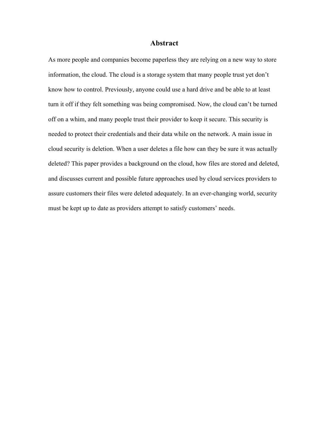#### **Abstract**

As more people and companies become paperless they are relying on a new way to store information, the cloud. The cloud is a storage system that many people trust yet don't know how to control. Previously, anyone could use a hard drive and be able to at least turn it off if they felt something was being compromised. Now, the cloud can't be turned off on a whim, and many people trust their provider to keep it secure. This security is needed to protect their credentials and their data while on the network. A main issue in cloud security is deletion. When a user deletes a file how can they be sure it was actually deleted? This paper provides a background on the cloud, how files are stored and deleted, and discusses current and possible future approaches used by cloud services providers to assure customers their files were deleted adequately. In an ever-changing world, security must be kept up to date as providers attempt to satisfy customers' needs.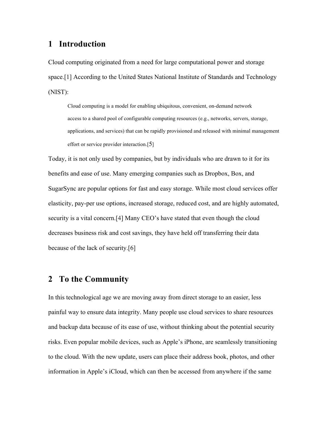## **1 Introduction**

Cloud computing originated from a need for large computational power and storage space.[1] According to the United States National Institute of Standards and Technology (NIST):

Cloud computing is a model for enabling ubiquitous, convenient, on-demand network access to a shared pool of configurable computing resources (e.g., networks, servers, storage, applications, and services) that can be rapidly provisioned and released with minimal management effort or service provider interaction.[5]

Today, it is not only used by companies, but by individuals who are drawn to it for its benefits and ease of use. Many emerging companies such as Dropbox, Box, and SugarSync are popular options for fast and easy storage. While most cloud services offer elasticity, pay-per use options, increased storage, reduced cost, and are highly automated, security is a vital concern.[4] Many CEO's have stated that even though the cloud decreases business risk and cost savings, they have held off transferring their data because of the lack of security.[6]

## **2 To the Community**

In this technological age we are moving away from direct storage to an easier, less painful way to ensure data integrity. Many people use cloud services to share resources and backup data because of its ease of use, without thinking about the potential security risks. Even popular mobile devices, such as Apple's iPhone, are seamlessly transitioning to the cloud. With the new update, users can place their address book, photos, and other information in Apple's iCloud, which can then be accessed from anywhere if the same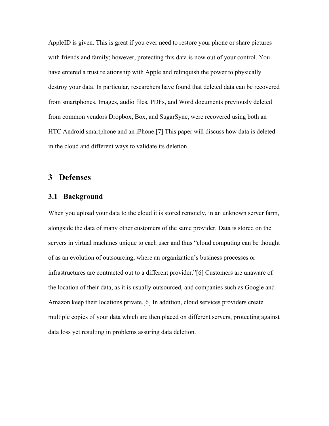AppleID is given. This is great if you ever need to restore your phone or share pictures with friends and family; however, protecting this data is now out of your control. You have entered a trust relationship with Apple and relinquish the power to physically destroy your data. In particular, researchers have found that deleted data can be recovered from smartphones. Images, audio files, PDFs, and Word documents previously deleted from common vendors Dropbox, Box, and SugarSync, were recovered using both an HTC Android smartphone and an iPhone.[7] This paper will discuss how data is deleted in the cloud and different ways to validate its deletion.

## **3 Defenses**

#### **3.1 Background**

When you upload your data to the cloud it is stored remotely, in an unknown server farm, alongside the data of many other customers of the same provider. Data is stored on the servers in virtual machines unique to each user and thus "cloud computing can be thought of as an evolution of outsourcing, where an organization's business processes or infrastructures are contracted out to a different provider."[6] Customers are unaware of the location of their data, as it is usually outsourced, and companies such as Google and Amazon keep their locations private.[6] In addition, cloud services providers create multiple copies of your data which are then placed on different servers, protecting against data loss yet resulting in problems assuring data deletion.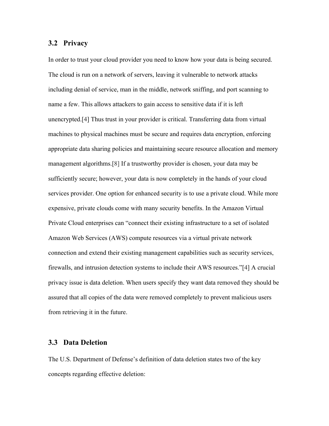#### **3.2 Privacy**

In order to trust your cloud provider you need to know how your data is being secured. The cloud is run on a network of servers, leaving it vulnerable to network attacks including denial of service, man in the middle, network sniffing, and port scanning to name a few. This allows attackers to gain access to sensitive data if it is left unencrypted.[4] Thus trust in your provider is critical. Transferring data from virtual machines to physical machines must be secure and requires data encryption, enforcing appropriate data sharing policies and maintaining secure resource allocation and memory management algorithms.[8] If a trustworthy provider is chosen, your data may be sufficiently secure; however, your data is now completely in the hands of your cloud services provider. One option for enhanced security is to use a private cloud. While more expensive, private clouds come with many security benefits. In the Amazon Virtual Private Cloud enterprises can "connect their existing infrastructure to a set of isolated Amazon Web Services (AWS) compute resources via a virtual private network connection and extend their existing management capabilities such as security services, firewalls, and intrusion detection systems to include their AWS resources."[4] A crucial privacy issue is data deletion. When users specify they want data removed they should be assured that all copies of the data were removed completely to prevent malicious users from retrieving it in the future.

#### **3.3 Data Deletion**

The U.S. Department of Defense's definition of data deletion states two of the key concepts regarding effective deletion: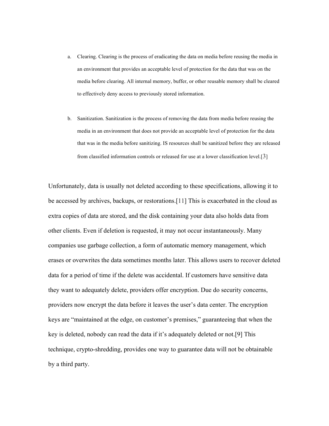- a. Clearing. Clearing is the process of eradicating the data on media before reusing the media in an environment that provides an acceptable level of protection for the data that was on the media before clearing. All internal memory, buffer, or other reusable memory shall be cleared to effectively deny access to previously stored information.
- b. Sanitization. Sanitization is the process of removing the data from media before reusing the media in an environment that does not provide an acceptable level of protection for the data that was in the media before sanitizing. IS resources shall be sanitized before they are released from classified information controls or released for use at a lower classification level.[3]

Unfortunately, data is usually not deleted according to these specifications, allowing it to be accessed by archives, backups, or restorations.[11] This is exacerbated in the cloud as extra copies of data are stored, and the disk containing your data also holds data from other clients. Even if deletion is requested, it may not occur instantaneously. Many companies use garbage collection, a form of automatic memory management, which erases or overwrites the data sometimes months later. This allows users to recover deleted data for a period of time if the delete was accidental. If customers have sensitive data they want to adequately delete, providers offer encryption. Due do security concerns, providers now encrypt the data before it leaves the user's data center. The encryption keys are "maintained at the edge, on customer's premises," guaranteeing that when the key is deleted, nobody can read the data if it's adequately deleted or not.[9] This technique, crypto-shredding, provides one way to guarantee data will not be obtainable by a third party.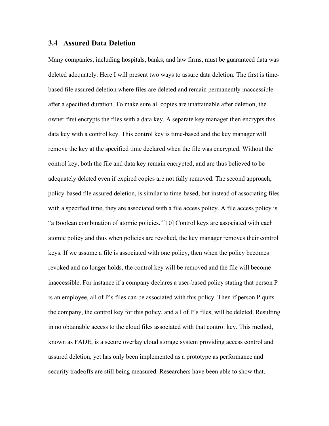#### **3.4 Assured Data Deletion**

Many companies, including hospitals, banks, and law firms, must be guaranteed data was deleted adequately. Here I will present two ways to assure data deletion. The first is timebased file assured deletion where files are deleted and remain permanently inaccessible after a specified duration. To make sure all copies are unattainable after deletion, the owner first encrypts the files with a data key. A separate key manager then encrypts this data key with a control key. This control key is time-based and the key manager will remove the key at the specified time declared when the file was encrypted. Without the control key, both the file and data key remain encrypted, and are thus believed to be adequately deleted even if expired copies are not fully removed. The second approach, policy-based file assured deletion, is similar to time-based, but instead of associating files with a specified time, they are associated with a file access policy. A file access policy is "a Boolean combination of atomic policies."[10] Control keys are associated with each atomic policy and thus when policies are revoked, the key manager removes their control keys. If we assume a file is associated with one policy, then when the policy becomes revoked and no longer holds, the control key will be removed and the file will become inaccessible. For instance if a company declares a user-based policy stating that person P is an employee, all of P's files can be associated with this policy. Then if person P quits the company, the control key for this policy, and all of P's files, will be deleted. Resulting in no obtainable access to the cloud files associated with that control key. This method, known as FADE, is a secure overlay cloud storage system providing access control and assured deletion, yet has only been implemented as a prototype as performance and security tradeoffs are still being measured. Researchers have been able to show that,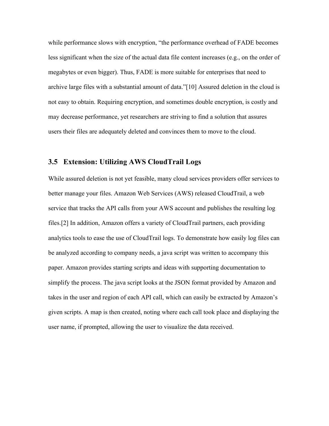while performance slows with encryption, "the performance overhead of FADE becomes less significant when the size of the actual data file content increases (e.g., on the order of megabytes or even bigger). Thus, FADE is more suitable for enterprises that need to archive large files with a substantial amount of data."[10] Assured deletion in the cloud is not easy to obtain. Requiring encryption, and sometimes double encryption, is costly and may decrease performance, yet researchers are striving to find a solution that assures users their files are adequately deleted and convinces them to move to the cloud.

#### **3.5 Extension: Utilizing AWS CloudTrail Logs**

While assured deletion is not yet feasible, many cloud services providers offer services to better manage your files. Amazon Web Services (AWS) released CloudTrail, a web service that tracks the API calls from your AWS account and publishes the resulting log files.[2] In addition, Amazon offers a variety of CloudTrail partners, each providing analytics tools to ease the use of CloudTrail logs. To demonstrate how easily log files can be analyzed according to company needs, a java script was written to accompany this paper. Amazon provides starting scripts and ideas with supporting documentation to simplify the process. The java script looks at the JSON format provided by Amazon and takes in the user and region of each API call, which can easily be extracted by Amazon's given scripts. A map is then created, noting where each call took place and displaying the user name, if prompted, allowing the user to visualize the data received.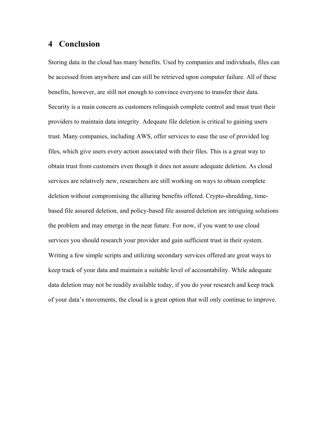# **4 Conclusion**

Storing data in the cloud has many benefits. Used by companies and individuals, files can be accessed from anywhere and can still be retrieved upon computer failure. All of these benefits, however, are still not enough to convince everyone to transfer their data. Security is a main concern as customers relinquish complete control and must trust their providers to maintain data integrity. Adequate file deletion is critical to gaining users trust. Many companies, including AWS, offer services to ease the use of provided log files, which give users every action associated with their files. This is a great way to obtain trust from customers even though it does not assure adequate deletion. As cloud services are relatively new, researchers are still working on ways to obtain complete deletion without compromising the alluring benefits offered. Crypto-shredding, timebased file assured deletion, and policy-based file assured deletion are intriguing solutions the problem and may emerge in the near future. For now, if you want to use cloud services you should research your provider and gain sufficient trust in their system. Writing a few simple scripts and utilizing secondary services offered are great ways to keep track of your data and maintain a suitable level of accountability. While adequate data deletion may not be readily available today, if you do your research and keep track of your data's movements, the cloud is a great option that will only continue to improve.